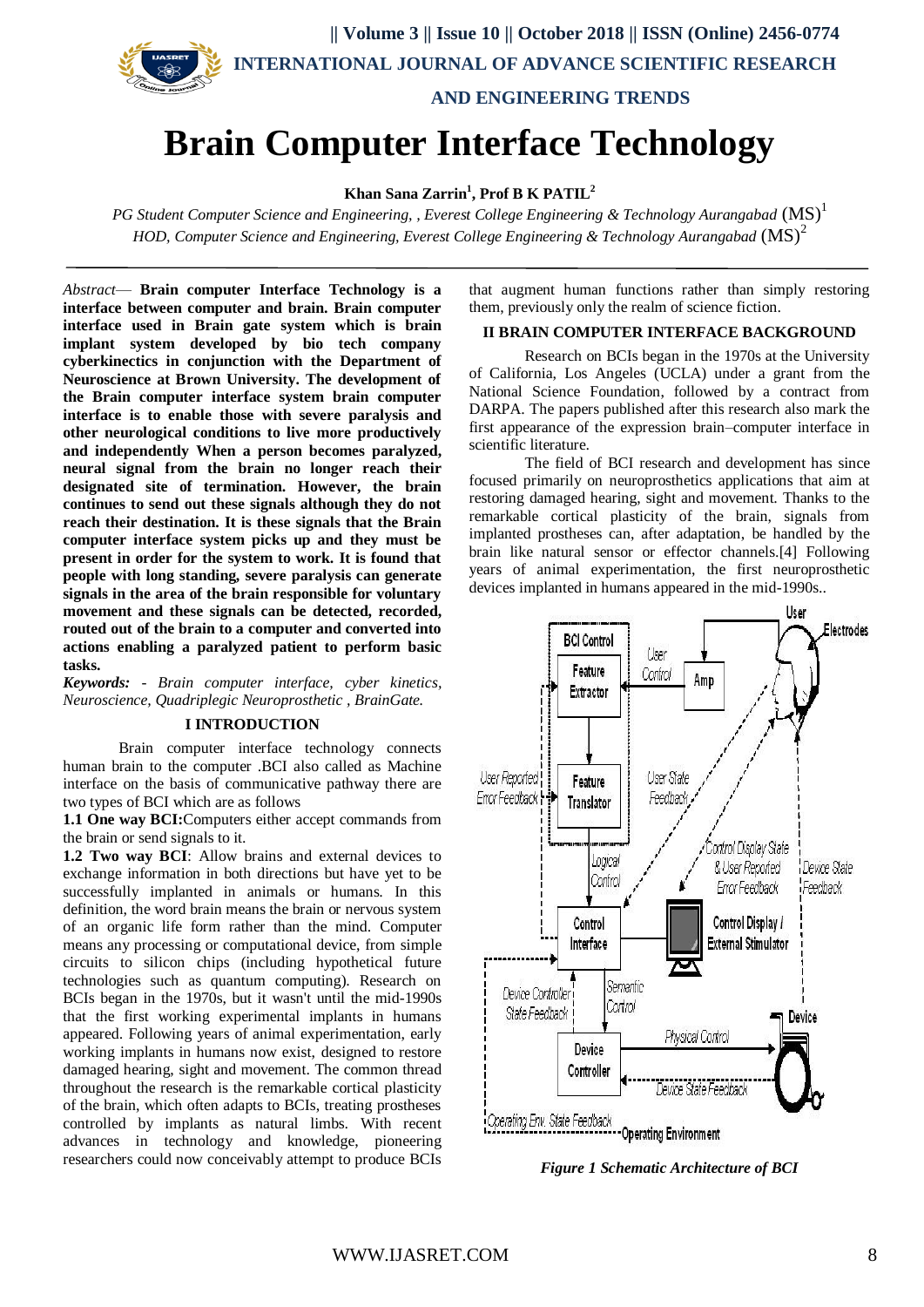

# **Brain Computer Interface Technology**

**Khan Sana Zarrin<sup>1</sup> , Prof B K PATIL<sup>2</sup>**

*PG Student Computer Science and Engineering, , Everest College Engineering & Technology Aurangabad* (MS) 1 *HOD, Computer Science and Engineering, Everest College Engineering & Technology Aurangabad* (MS)<sup>2</sup>

*Abstract*— **Brain computer Interface Technology is a interface between computer and brain. Brain computer interface used in Brain gate system which is brain implant system developed by bio tech company cyberkinectics in conjunction with the Department of Neuroscience at Brown University. The development of the Brain computer interface system brain computer interface is to enable those with severe paralysis and other neurological conditions to live more productively and independently When a person becomes paralyzed, neural signal from the brain no longer reach their designated site of termination. However, the brain continues to send out these signals although they do not reach their destination. It is these signals that the Brain computer interface system picks up and they must be present in order for the system to work. It is found that people with long standing, severe paralysis can generate signals in the area of the brain responsible for voluntary movement and these signals can be detected, recorded, routed out of the brain to a computer and converted into actions enabling a paralyzed patient to perform basic tasks.**

*Keywords: - Brain computer interface, cyber kinetics, Neuroscience, Quadriplegic Neuroprosthetic , BrainGate.*

#### **I INTRODUCTION**

Brain computer interface technology connects human brain to the computer .BCI also called as Machine interface on the basis of communicative pathway there are two types of BCI which are as follows

**1.1 One way BCI:**Computers either accept commands from the brain or send signals to it.

**1.2 Two way BCI**: Allow brains and external devices to exchange information in both directions but have yet to be successfully implanted in animals or humans. In this definition, the word brain means the brain or nervous system of an organic life form rather than the mind. Computer means any processing or computational device, from simple circuits to silicon chips (including hypothetical future technologies such as quantum computing). Research on BCIs began in the 1970s, but it wasn't until the mid-1990s that the first working experimental implants in humans appeared. Following years of animal experimentation, early working implants in humans now exist, designed to restore damaged hearing, sight and movement. The common thread throughout the research is the remarkable cortical plasticity of the brain, which often adapts to BCIs, treating prostheses controlled by implants as natural limbs. With recent advances in technology and knowledge, pioneering researchers could now conceivably attempt to produce BCIs

that augment human functions rather than simply restoring them, previously only the realm of science fiction.

#### **II BRAIN COMPUTER INTERFACE BACKGROUND**

Research on BCIs began in the 1970s at the University of California, Los Angeles (UCLA) under a grant from the National Science Foundation, followed by a contract from DARPA. The papers published after this research also mark the first appearance of the expression brain–computer interface in scientific literature.

The field of BCI research and development has since focused primarily on neuroprosthetics applications that aim at restoring damaged hearing, sight and movement. Thanks to the remarkable cortical plasticity of the brain, signals from implanted prostheses can, after adaptation, be handled by the brain like natural sensor or effector channels.[4] Following years of animal experimentation, the first neuroprosthetic devices implanted in humans appeared in the mid-1990s..



*Figure 1 Schematic Architecture of BCI*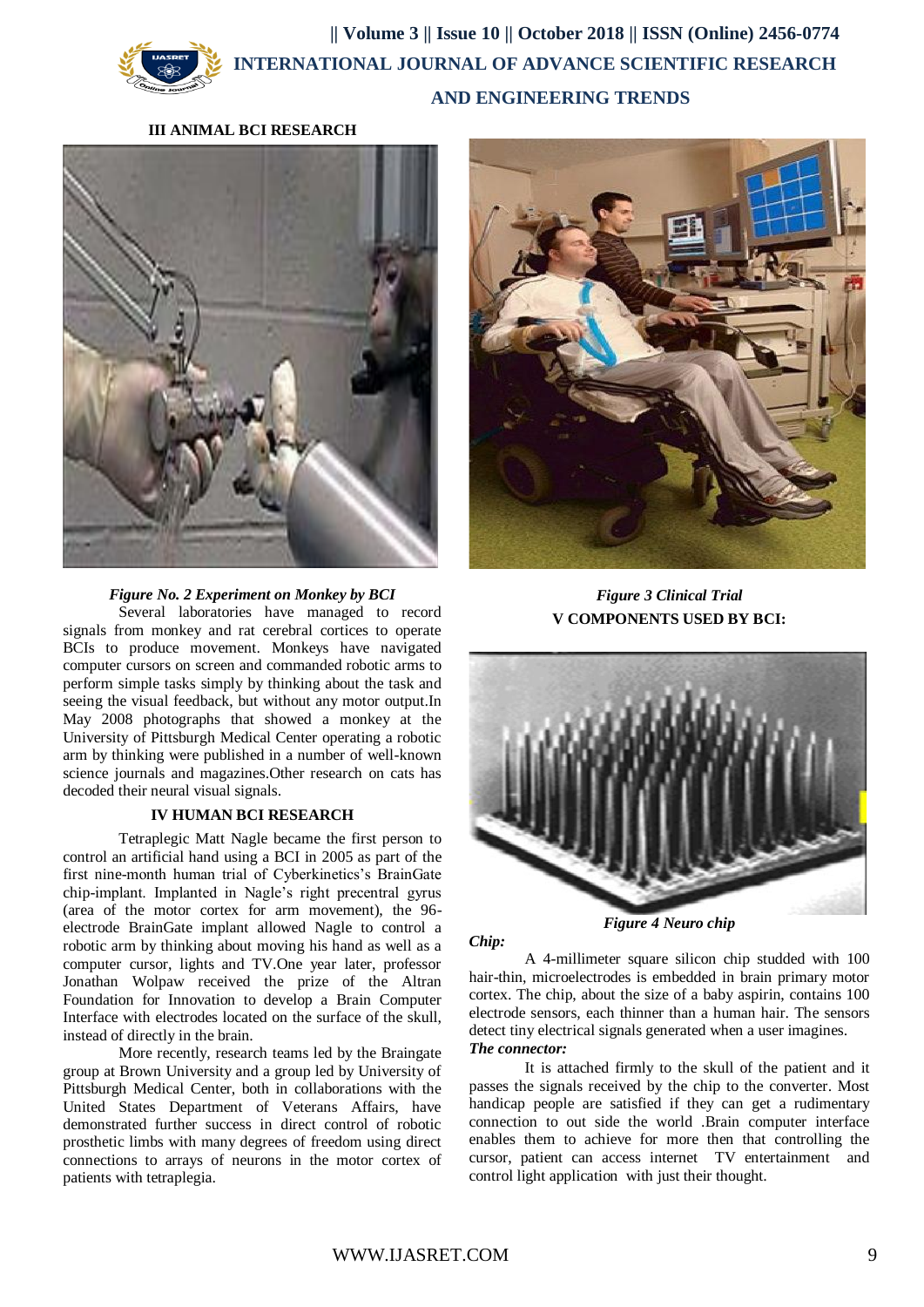## **|| Volume 3 || Issue 10 || October 2018 || ISSN (Online) 2456-0774 INTERNATIONAL JOURNAL OF ADVANCE SCIENTIFIC RESEARCH AND ENGINEERING TRENDS**

## **III ANIMAL BCI RESEARCH**



## *Figure No. 2 Experiment on Monkey by BCI*

Several laboratories have managed to record signals from monkey and rat cerebral cortices to operate BCIs to produce movement. Monkeys have navigated computer cursors on screen and commanded robotic arms to perform simple tasks simply by thinking about the task and seeing the visual feedback, but without any motor output.In May 2008 photographs that showed a monkey at the University of Pittsburgh Medical Center operating a robotic arm by thinking were published in a number of well-known science journals and magazines.Other research on cats has decoded their neural visual signals.

## **IV HUMAN BCI RESEARCH**

Tetraplegic Matt Nagle became the first person to control an artificial hand using a BCI in 2005 as part of the first nine-month human trial of Cyberkinetics's BrainGate chip-implant. Implanted in Nagle's right precentral gyrus (area of the motor cortex for arm movement), the 96 electrode BrainGate implant allowed Nagle to control a robotic arm by thinking about moving his hand as well as a computer cursor, lights and TV.One year later, professor Jonathan Wolpaw received the prize of the Altran Foundation for Innovation to develop a Brain Computer Interface with electrodes located on the surface of the skull, instead of directly in the brain.

More recently, research teams led by the Braingate group at Brown University and a group led by University of Pittsburgh Medical Center, both in collaborations with the United States Department of Veterans Affairs, have demonstrated further success in direct control of robotic prosthetic limbs with many degrees of freedom using direct connections to arrays of neurons in the motor cortex of patients with tetraplegia.



*Figure 3 Clinical Trial* **V COMPONENTS USED BY BCI:**



*Figure 4 Neuro chip*

A 4-millimeter square silicon chip studded with 100 hair-thin, microelectrodes is embedded in brain primary motor cortex. The chip, about the size of a baby aspirin, contains 100 electrode sensors, each thinner than a human hair. The sensors detect tiny electrical signals generated when a user imagines. *The connector:*

It is attached firmly to the skull of the patient and it passes the signals received by the chip to the converter. Most handicap people are satisfied if they can get a rudimentary connection to out side the world .Brain computer interface enables them to achieve for more then that controlling the cursor, patient can access internet TV entertainment and control light application with just their thought.

*Chip:*